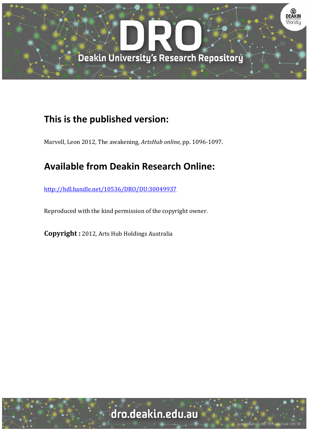

## **This is the published version:**

Marvell, Leon 2012, The awakening, ArtsHub online, pp. 1096-1097.

## **Available from Deakin Research Online:**

http://hdl.handle.net/10536/DRO/DU:30049937

Reproduced with the kind permission of the copyright owner.

**Copyright** : 2012, Arts Hub Holdings Australia

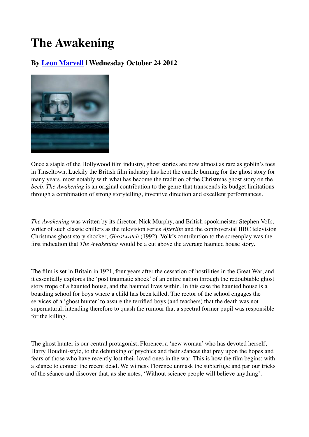# **The Awakening**

### **By Leon Marvell | Wednesday October 24 2012**



Once a staple of the Hollywood film industry, ghost stories are now almost as rare as goblin's toes in Tinseltown. Luckily the British film industry has kept the candle burning for the ghost story for many years, most notably with what has become the tradition of the Christmas ghost story on the *beeb*. *The Awakening* is an original contribution to the genre that transcends its budget limitations through a combination of strong storytelling, inventive direction and excellent performances.

*The Awakening* was written by its director, Nick Murphy, and British spookmeister Stephen Volk, writer of such classic chillers as the television series *Afterlife* and the controversial BBC television Christmas ghost story shocker, *Ghostwatch* (1992). Volk's contribution to the screenplay was the first indication that *The Awakening* would be a cut above the average haunted house story.

The film is set in Britain in 1921, four years after the cessation of hostilities in the Great War, and it essentially explores the 'post traumatic shock' of an entire nation through the redoubtable ghost story trope of a haunted house, and the haunted lives within. In this case the haunted house is a boarding school for boys where a child has been killed. The rector of the school engages the services of a 'ghost hunter' to assure the terrified boys (and teachers) that the death was not supernatural, intending therefore to quash the rumour that a spectral former pupil was responsible for the killing.

The ghost hunter is our central protagonist, Florence, a 'new woman' who has devoted herself, Harry Houdini-style, to the debunking of psychics and their séances that prey upon the hopes and fears of those who have recently lost their loved ones in the war. This is how the film begins: with a séance to contact the recent dead. We witness Florence unmask the subterfuge and parlour tricks of the séance and discover that, as she notes, 'Without science people will believe anything'.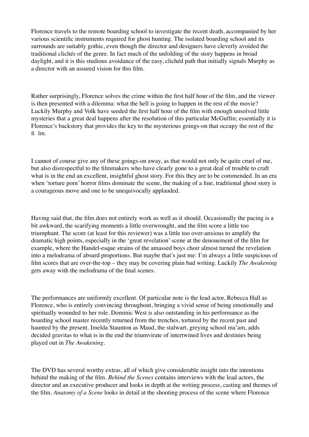Florence travels to the remote boarding school to investigate the recent death, accompanied by her various scientific instruments required for ghost hunting. The isolated boarding school and its surrounds are suitably gothic, even though the director and designers have cleverly avoided the traditional clichés of the genre. In fact much of the unfolding of the story happens in broad daylight, and it is this studious avoidance of the easy, clichéd path that initially signals Murphy as a director with an assured vision for this film.

Rather surprisingly, Florence solves the crime within the first half hour of the film, and the viewer is then presented with a dilemma: what the hell is going to happen in the rest of the movie? Luckily Murphy and Volk have seeded the first half hour of the film with enough unsolved little mysteries that a great deal happens after the resolution of this particular McGuffin; essentially it is Florence's backstory that provides the key to the mysterious goings-on that occupy the rest of the fi lm.

I cannot of course give any of these goings-on away, as that would not only be quite cruel of me, but also disrespectful to the filmmakers who have clearly gone to a great deal of trouble to craft what is in the end an excellent, insightful ghost story. For this they are to be commended. In an era when 'torture porn' horror films dominate the scene, the making of a fine, traditional ghost story is a courageous move and one to be unequivocally applauded.

Having said that, the film does not entirely work as well as it should. Occasionally the pacing is a bit awkward, the scarifying moments a little overwrought, and the film score a little too triumphant. The score (at least for this reviewer) was a little too over-anxious to amplify the dramatic high points, especially in the 'great revelation' scene at the denouement of the film for example, where the Handel-esque strains of the amassed boys choir almost turned the revelation into a melodrama of absurd proportions. But maybe that's just me: I'm always a little suspicious of film scores that are over-the-top – they may be covering plain bad writing. Luckily *The Awakening* gets away with the melodrama of the final scenes.

The performances are uniformly excellent. Of particular note is the lead actor, Rebecca Hall as Florence, who is entirely convincing throughout, bringing a vivid sense of being emotionally and spiritually wounded to her role. Dominic West is also outstanding in his performance as the boarding school master recently returned from the trenches, tortured by the recent past and haunted by the present. Imelda Staunton as Maud, the stalwart, greying school ma'am, adds decided gravitas to what is in the end the triumvirate of intertwined lives and destinies being played out in *The Awakening*.

The DVD has several worthy extras, all of which give considerable insight into the intentions behind the making of the film. *Behind the Scenes* contains interviews with the lead actors, the director and an executive producer and looks in depth at the writing process, casting and themes of the film. *Anatomy of a Scene* looks in detail at the shooting process of the scene where Florence